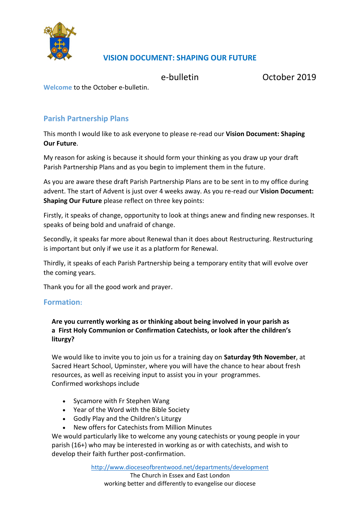

# **VISION DOCUMENT: SHAPING OUR FUTURE**

e-bulletin October 2019

**Welcome** to the October e-bulletin.

## **Parish Partnership Plans**

This month I would like to ask everyone to please re-read our **Vision Document: Shaping Our Future**.

My reason for asking is because it should form your thinking as you draw up your draft Parish Partnership Plans and as you begin to implement them in the future.

As you are aware these draft Parish Partnership Plans are to be sent in to my office during advent. The start of Advent is just over 4 weeks away. As you re-read our **Vision Document: Shaping Our Future** please reflect on three key points:

Firstly, it speaks of change, opportunity to look at things anew and finding new responses. It speaks of being bold and unafraid of change.

Secondly, it speaks far more about Renewal than it does about Restructuring. Restructuring is important but only if we use it as a platform for Renewal.

Thirdly, it speaks of each Parish Partnership being a temporary entity that will evolve over the coming years.

Thank you for all the good work and prayer.

### **Formation:**

**Are you currently working as or thinking about being involved in your parish as a First Holy Communion or Confirmation Catechists, or look after the children's liturgy?**

We would like to invite you to join us for a training day on **Saturday 9th November**, at Sacred Heart School, Upminster, where you will have the chance to hear about fresh resources, as well as receiving input to assist you in your programmes. Confirmed workshops include

- Sycamore with Fr Stephen Wang
- Year of the Word with the Bible Society
- Godly Play and the Children's Liturgy
- New offers for Catechists from Million Minutes

We would particularly like to welcome any young catechists or young people in your parish (16+) who may be interested in working as or with catechists, and wish to develop their faith further post-confirmation.

<http://www.dioceseofbrentwood.net/departments/development>